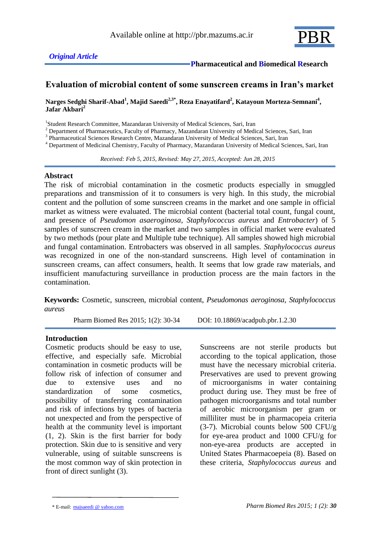

# **Evaluation of microbial content of some sunscreen creams in Iran's market**

**Narges Sedghi Sharif-Abad<sup>1</sup> , Majid Saeedi2,3\*, Reza Enayatifard<sup>2</sup> , Katayoun Morteza-Semnani<sup>4</sup> , Jafar Akbari<sup>2</sup>**

<sup>1</sup>Student Research Committee, Mazandaran University of Medical Sciences, Sari, Iran

<sup>2</sup> Department of Pharmaceutics, Faculty of Pharmacy, Mazandaran University of Medical Sciences, Sari, Iran

<sup>3</sup> Pharmaceutical Sciences Research Centre, Mazandaran University of Medical Sciences, Sari, Iran

<sup>4</sup> Department of Medicinal Chemistry, Faculty of Pharmacy, Mazandaran University of Medical Sciences, Sari, Iran

 *Received: Feb 5, 2015, Revised: May 27, 2015, Accepted: Jun 28, 2015*

### **Abstract**

The risk of microbial contamination in the cosmetic products especially in smuggled preparations and transmission of it to consumers is very high. In this study, the microbial content and the pollution of some sunscreen creams in the market and one sample in official market as witness were evaluated. The microbial content (bacterial total count, fungal count, and presence of *Pseudomon asaeroginosa*, *Staphylococcus aureus* and *Entrobacter*) of 5 samples of sunscreen cream in the market and two samples in official market were evaluated by two methods (pour plate and Multiple tube technique). All samples showed high microbial and fungal contamination. Entrobacters was observed in all samples. *Staphylococcus aureus* was recognized in one of the non-standard sunscreens. High level of contamination in sunscreen creams, can affect consumers, health. It seems that low grade raw materials, and insufficient manufacturing surveillance in production process are the main factors in the contamination.

**Keywords:** Cosmetic, sunscreen, microbial content, *Pseudomonas aeroginosa*, *Staphylococcus aureus*

Pharm Biomed Res 2015; 1(2): 30-34 [DOI: 10.18869/acadpub.pbr.1.2.30](http://dx.doi.org/10.18869/acadpub.pbr.1.2.30)

## **Introduction**

Cosmetic products should be easy to use, effective, and especially safe. Microbial contamination in cosmetic products will be follow risk of infection of consumer and due to extensive uses and no standardization of some cosmetics, possibility of transferring contamination and risk of infections by types of bacteria not unexpected and from the perspective of health at the community level is important (1, 2). Skin is the first barrier for body protection. Skin due to is sensitive and very vulnerable, using of suitable sunscreens is the most common way of skin protection in front of direct sunlight (3).

Sunscreens are not sterile products but according to the topical application, those must have the necessary microbial criteria. Preservatives are used to prevent growing of microorganisms in water containing product during use. They must be free of pathogen microorganisms and total number of aerobic microorganism per gram or milliliter must be in pharmacopeia criteria  $(3-7)$ . Microbial counts below 500 CFU/g for eye-area product and 1000 CFU/g for non-eye-area products are accepted in United States Pharmacoepeia (8). Based on these criteria, *Staphylococcus aureus* and

<sup>\*</sup> E-mail: majsaeedi @ yahoo.com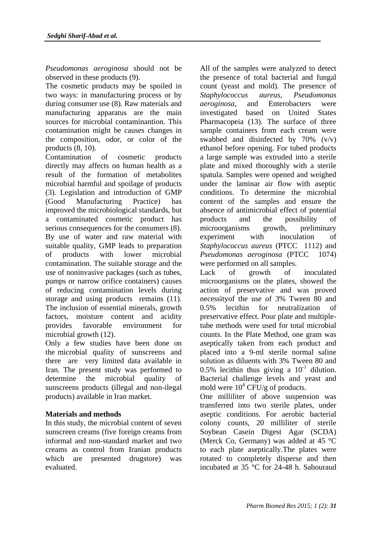*Pseudomonas aeroginosa* should not be observed in these products (9).

The cosmetic products may be spoiled in two ways: in manufacturing process or by during consumer use (8). Raw materials and manufacturing apparatus are the main sources for microbial contaminantion. This contamination might be causes changes in the composition, odor, or color of the products (8, 10).

Contamination of cosmetic products directly may affects on human health as a result of the formation of metabolites microbial harmful and spoilage of products (3). Legislation and introduction of GMP (Good Manufacturing Practice) has improved the microbiological standards, but a contaminated cosmetic product has serious consequences for the consumers (8). By use of water and raw material with suitable quality, GMP leads to preparation of products with lower microbial contamination. The suitable storage and the use of noninvasive packages (such as tubes, pumps or narrow orifice containers) causes of reducing contamination levels during storage and using products remains (11). The inclusion of essential minerals, growth factors, moisture content and acidity provides favorable environment for microbial growth (12).

Only a few studies have been done on the microbial quality of sunscreens and there are very limited data available in Iran. The present study was performed to determine the microbial quality of sunscreens products (illegal and non-ilegal products) available in Iran market.

## **Materials and methods**

In this study, the microbial content of seven sunscreen creams (five foreign creams from informal and non-standard market and two creams as control from Iranian products which are presented drugstore) was evaluated.

All of the samples were analyzed to detect the presence of total bacterial and fungal count (yeast and mold). The presence of *Staphylococcus aureus*, *Pseudomonas aeroginosa*, and Enterobacters were investigated based on United States Pharmacopeia (13). The surface of three sample containers from each cream were swabbed and disinfected by 70% (v/v) ethanol before opening. For tubed products a large sample was extruded into a sterile plate and mixed thoroughly with a sterile spatula. Samples were opened and weighed under the laminar air flow with aseptic conditions. To determine the microbial content of the samples and ensure the absence of antimicrobial effect of potential products and the possibility of microorganisms growth, preliminary experiment with inoculation of *Staphylococcus aureus* (PTCC 1112) and *Pseudomonas aeroginosa* (PTCC 1074) were performed on all samples.

Lack of growth of inoculated microorganisms on the plates, showed the action of preservative and was proved necessityof the use of 3% Tween 80 and 0.5% lecithin for neutralization of preservative effect. Pour plate and multipletube methods were used for total microbial counts. In the Plate Method, one gram was aseptically taken from each product and placed into a 9-ml sterile normal saline solution as diluents with 3% Tween 80 and 0.5% lecithin thus giving a  $10^{-1}$  dilution. Bacterial challenge levels and yeast and mold were  $10^4$  CFU/g of products.

One milliliter of above suspension was transferred into two sterile plates, under aseptic conditions. For aerobic bacterial colony counts, 20 milliliter of sterile Soybean Casein Digest Agar (SCDA) (Merck Co, Germany) was added at 45 °C to each plate aseptically.The plates were rotated to completely disperse and then incubated at 35 °C for 24-48 h. Sabouraud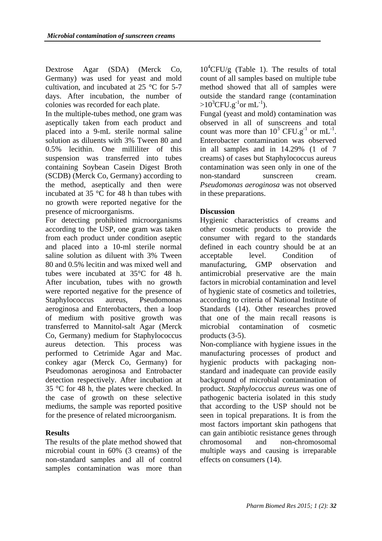Dextrose Agar (SDA) (Merck Co, Germany) was used for yeast and mold cultivation, and incubated at 25 °C for 5-7 days. After incubation, the number of colonies was recorded for each plate.

In the multiple-tubes method, one gram was aseptically taken from each product and placed into a 9-mL sterile normal saline solution as diluents with 3% Tween 80 and 0.5% lecithin. One milliliter of this suspension was transferred into tubes containing Soybean Casein Digest Broth (SCDB) (Merck Co, Germany) according to the method, aseptically and then were incubated at 35 °C for 48 h than tubes with no growth were reported negative for the presence of microorganisms.

For detecting prohibited microorganisms according to the USP, one gram was taken from each product under condition aseptic and placed into a 10-ml sterile normal saline solution as diluent with 3% Tween 80 and 0.5% lecitin and was mixed well and tubes were incubated at 35°C for 48 h. After incubation, tubes with no growth were reported negative for the presence of Staphylococcus aureus, Pseudomonas aeroginosa and Enterobacters, then a loop of medium with positive growth was transferred to Mannitol-salt Agar (Merck Co, Germany) medium for Staphylococcus aureus detection. This process was performed to Cetrimide Agar and Mac. conkey agar (Merck Co, Germany) for Pseudomonas aeroginosa and Entrobacter detection respectively. After incubation at 35 °C for 48 h, the plates were checked. In the case of growth on these selective mediums, the sample was reported positive for the presence of related microorganism.

## **Results**

The results of the plate method showed that microbial count in 60% (3 creams) of the non-standard samples and all of control samples contamination was more than

 $10^4$ CFU/g (Table 1). The results of total count of all samples based on multiple tube method showed that all of samples were outside the standard range (contamination > $10^3$ CFU.g<sup>-1</sup>or mL<sup>-1</sup>).

Fungal (yeast and mold) contamination was observed in all of sunscreens and total count was more than  $10^3$  CFU.g<sup>-1</sup> or mL<sup>-1</sup>. Enterobacter contamination was observed in all samples and in 14.29% (1 of 7 creams) of cases but Staphylococcus aureus contamination was seen only in one of the non-standard sunscreen cream. *Pseudomonas aeroginosa* was not observed in these preparations.

## **Discussion**

Hygienic characteristics of creams and other cosmetic products to provide the consumer with regard to the standards defined in each country should be at an acceptable level. Condition of manufacturing, GMP observation and antimicrobial preservative are the main factors in microbial contamination and level of hygienic state of cosmetics and toiletries, according to criteria of National Institute of Standards (14). Other researches proved that one of the main recall reasons is microbial contamination of cosmetic products (3-5).

Non-compliance with hygiene issues in the manufacturing processes of product and hygienic products with packaging nonstandard and inadequate can provide easily background of microbial contamination of product. *Staphylococcus aureus* was one of pathogenic bacteria isolated in this study that according to the USP should not be seen in topical preparations. It is from the most factors important skin pathogens that can gain antibiotic resistance genes through chromosomal and non-chromosomal multiple ways and causing is irreparable effects on consumers (14).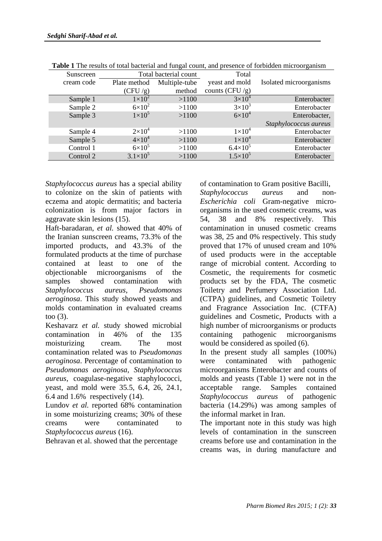| Sunscreen  | Total bacterial count |               | Total               |                         |
|------------|-----------------------|---------------|---------------------|-------------------------|
| cream code | Plate method          | Multiple-tube | yeast and mold      | Isolated microorganisms |
|            | (CFU/g)               | method        | counts (CFU/g)      |                         |
| Sample 1   | $1\times10^2$         | >1100         | $3\times10^4$       | Enterobacter            |
| Sample 2   | $6\times10^2$         | >1100         | $3\times10^3$       | Enterobacter            |
| Sample 3   | $1\times10^5$         | >1100         | $6\times10^4$       | Enterobacter,           |
|            |                       |               |                     | Staphylococcus aureus   |
| Sample 4   | $2\times10^4$         | >1100         | $1\times10^4$       | Enterobacter            |
| Sample 5   | $4\times10^4$         | >1100         | $1\times10^4$       | Enterobacter            |
| Control 1  | $6\times10^5$         | >1100         | $6.4 \times 10^{5}$ | Enterobacter            |
| Control 2  | $3.1 \times 10^5$     | >1100         | $1.5 \times 10^{5}$ | Enterobacter            |

**Table 1** The results of total bacterial and fungal count, and presence of forbidden microorganism

*Staphylococcus aureus* has a special ability to colonize on the skin of patients with eczema and atopic dermatitis; and bacteria colonization is from major factors in aggravate skin lesions (15).

Haft-baradaran, *et al.* showed that 40% of the Iranian sunscreen creams, 73.3% of the imported products, and 43.3% of the formulated products at the time of purchase contained at least to one of the objectionable microorganisms of the samples showed contamination with *Staphylococcus aureus*, *Pseudomonas aeroginosa*. This study showed yeasts and molds contamination in evaluated creams too (3).

Keshavarz *et al.* study showed microbial contamination in 46% of the 135 moisturizing cream. The most contamination related was to *Pseudomonas aeroginosa*. Percentage of contamination to *Pseudomonas aeroginosa*, *Staphylococcus aureus*, coagulase-negative staphylococci, yeast, and mold were 35.5, 6.4, 26, 24.1, 6.4 and 1.6% respectively (14).

Lundov *et al.* reported 68% contamination in some moisturizing creams; 30% of these creams were contaminated to *Staphylococcus aureus* (16).

Behravan et al. showed that the percentage

of contamination to Gram positive Bacilli, *Staphylococcus aureus* and non-*Escherichia coli* Gram-negative microorganisms in the used cosmetic creams, was 54, 38 and 8% respectively. This contamination in unused cosmetic creams was 38, 25 and 0% respectively. This study proved that 17% of unused cream and 10% of used products were in the acceptable range of microbial content. According to Cosmetic, the requirements for cosmetic products set by the FDA, The cosmetic Toiletry and Perfumery Association Ltd. (CTPA) guidelines, and Cosmetic Toiletry and Fragrance Association Inc. (CTFA) guidelines and Cosmetic, Products with a high number of microorganisms or products containing pathogenic microorganisms would be considered as spoiled (6).

In the present study all samples (100%) were contaminated with pathogenic microorganisms Enterobacter and counts of molds and yeasts (Table 1) were not in the acceptable range. Samples contained *Staphylococcus aureus* of pathogenic bacteria (14.29%) was among samples of the informal market in Iran.

The important note in this study was high levels of contamination in the sunscreen creams before use and contamination in the creams was, in during manufacture and